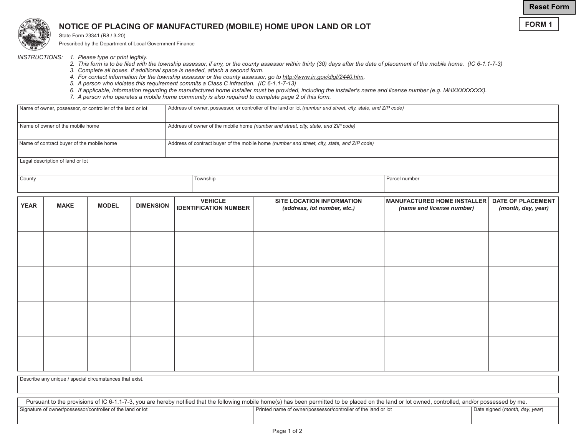**FORM 1**



## **NOTICE OF PLACING OF MANUFACTURED (MOBILE) HOME UPON LAND OR LOT**

State Form 23341 (R8 / 3-20)

Prescribed by the Department of Local Government Finance

- *INSTRUCTIONS: 1. Please type or print legibly.*
	- *2. This form is to be filed with the township assessor, if any, or the county assessor within thirty (30) days after the date of placement of the mobile home. (IC 6-1.1-7-3)*
	- *3. Complete all boxes. If additional space is needed, attach a second form.*
	- *4. For contact information for the township assessor or the county assessor, go to http://www.in.gov/dlgf/2440.htm.*
	- *5. A person who violates this requirement commits a Class C infraction. (IC 6-1.1-7-13)*
	- *6. If applicable, information regarding the manufactured home installer must be provided, including the installer's name and license number (e.g. MHXXXXXXXX).*
	- *7. A person who operates a mobile home community is also required to complete page 2 of this form.*

| Address of owner, possessor, or controller of the land or lot <i>(number and street, city, state, and ZIP code)</i> |  |  |  |  |  |
|---------------------------------------------------------------------------------------------------------------------|--|--|--|--|--|
|                                                                                                                     |  |  |  |  |  |
| Address of owner of the mobile home (number and street, city, state, and ZIP code)                                  |  |  |  |  |  |
|                                                                                                                     |  |  |  |  |  |
| Address of contract buyer of the mobile home (number and street, city, state, and ZIP code)                         |  |  |  |  |  |
|                                                                                                                     |  |  |  |  |  |
| Legal description of land or lot                                                                                    |  |  |  |  |  |
|                                                                                                                     |  |  |  |  |  |

County **County** Parcel number **The County Parcel number** Parcel number and the County Parcel number and the Parcel number

| <b>YEAR</b> | <b>MAKE</b> | <b>MODEL</b> | <b>DIMENSION</b> | <b>VEHICLE</b><br><b>IDENTIFICATION NUMBER</b> | SITE LOCATION INFORMATION<br>(address, lot number, etc.) | <b>MANUFACTURED HOME INSTALLER</b><br>(name and license number) | <b>DATE OF PLACEMENT</b><br>(month, day, year) |
|-------------|-------------|--------------|------------------|------------------------------------------------|----------------------------------------------------------|-----------------------------------------------------------------|------------------------------------------------|
|             |             |              |                  |                                                |                                                          |                                                                 |                                                |
|             |             |              |                  |                                                |                                                          |                                                                 |                                                |
|             |             |              |                  |                                                |                                                          |                                                                 |                                                |
|             |             |              |                  |                                                |                                                          |                                                                 |                                                |
|             |             |              |                  |                                                |                                                          |                                                                 |                                                |
|             |             |              |                  |                                                |                                                          |                                                                 |                                                |
|             |             |              |                  |                                                |                                                          |                                                                 |                                                |
|             |             |              |                  |                                                |                                                          |                                                                 |                                                |
|             |             |              |                  |                                                |                                                          |                                                                 |                                                |

Describe any unique / special circumstances that exist.

Pursuant to the provisions of IC 6-1.1-7-3, you are hereby notified that the following mobile home(s) has been permitted to be placed on the land or lot owned, controlled, and/or possessed by me. Signature of owner/possessor/controller of the land or lot **Date signed (***month, day, year***)** Printed name of owner/possessor/controller of the land or lot and or lot part and or lot part and or lot and or lot and or lot a